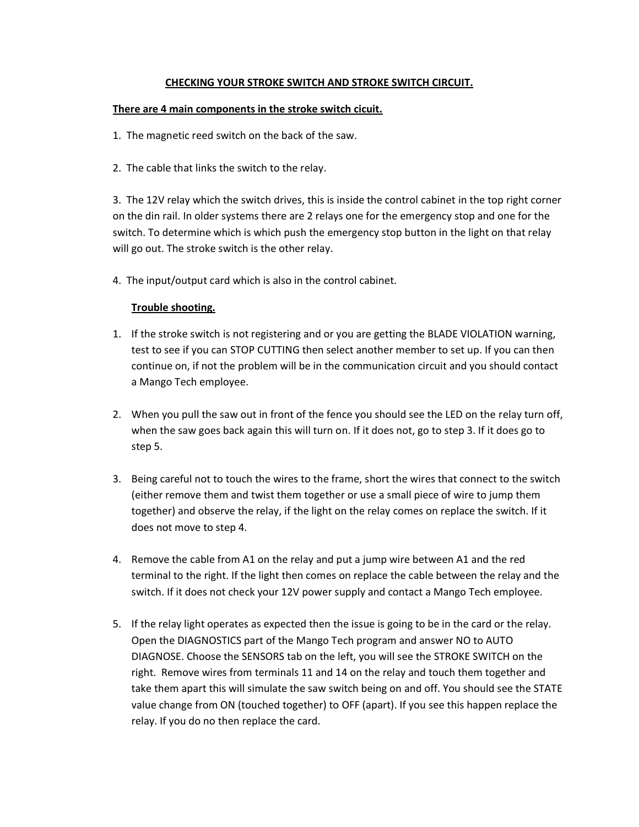## **CHECKING YOUR STROKE SWITCH AND STROKE SWITCH CIRCUIT.**

## **There are 4 main components in the stroke switch cicuit.**

- 1. The magnetic reed switch on the back of the saw.
- 2. The cable that links the switch to the relay.

3. The 12V relay which the switch drives, this is inside the control cabinet in the top right corner on the din rail. In older systems there are 2 relays one for the emergency stop and one for the switch. To determine which is which push the emergency stop button in the light on that relay will go out. The stroke switch is the other relay.

4. The input/output card which is also in the control cabinet.

## **Trouble shooting.**

- 1. If the stroke switch is not registering and or you are getting the BLADE VIOLATION warning, test to see if you can STOP CUTTING then select another member to set up. If you can then continue on, if not the problem will be in the communication circuit and you should contact a Mango Tech employee.
- 2. When you pull the saw out in front of the fence you should see the LED on the relay turn off, when the saw goes back again this will turn on. If it does not, go to step 3. If it does go to step 5.
- 3. Being careful not to touch the wires to the frame, short the wires that connect to the switch (either remove them and twist them together or use a small piece of wire to jump them together) and observe the relay, if the light on the relay comes on replace the switch. If it does not move to step 4.
- 4. Remove the cable from A1 on the relay and put a jump wire between A1 and the red terminal to the right. If the light then comes on replace the cable between the relay and the switch. If it does not check your 12V power supply and contact a Mango Tech employee.
- 5. If the relay light operates as expected then the issue is going to be in the card or the relay. Open the DIAGNOSTICS part of the Mango Tech program and answer NO to AUTO DIAGNOSE. Choose the SENSORS tab on the left, you will see the STROKE SWITCH on the right. Remove wires from terminals 11 and 14 on the relay and touch them together and take them apart this will simulate the saw switch being on and off. You should see the STATE value change from ON (touched together) to OFF (apart). If you see this happen replace the relay. If you do no then replace the card.